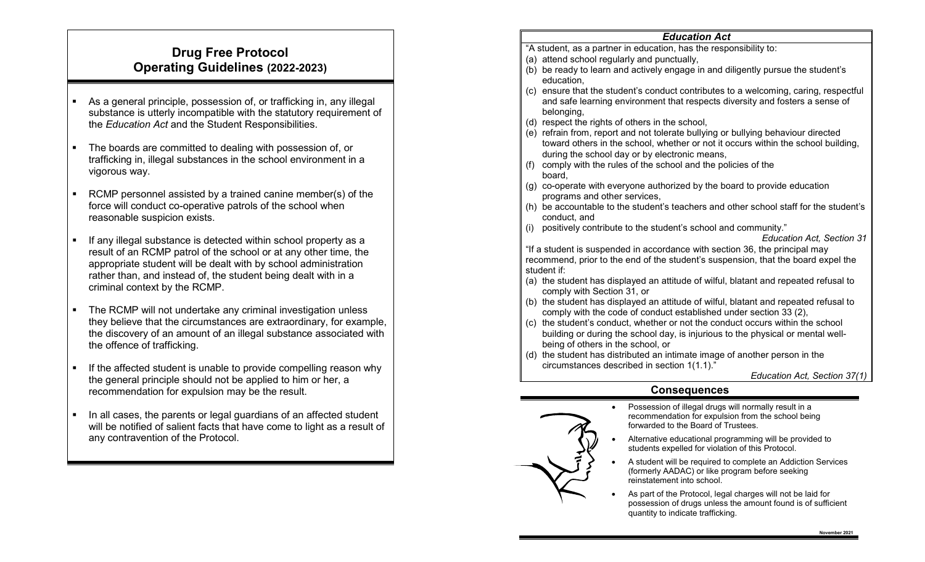# **Drug Free Protocol Operating Guidelines (2022-2023)**

- As a general principle, possession of, or trafficking in, any illegal substance is utterly incompatible with the statutory requirement of the *Education Act* and the Student Responsibilities.
- The boards are committed to dealing with possession of, or trafficking in, illegal substances in the school environment in a vigorous way.
- RCMP personnel assisted by a trained canine member(s) of the force will conduct co-operative patrols of the school when reasonable suspicion exists.
- If any illegal substance is detected within school property as a result of an RCMP patrol of the school or at any other time, the appropriate student will be dealt with by school administration rather than, and instead of, the student being dealt with in a criminal context by the RCMP.
- The RCMP will not undertake any criminal investigation unless they believe that the circumstances are extraordinary, for example, the discovery of an amount of an illegal substance associated with the offence of trafficking.
- If the affected student is unable to provide compelling reason why the general principle should not be applied to him or her, a recommendation for expulsion may be the result.
- In all cases, the parents or legal guardians of an affected student will be notified of salient facts that have come to light as a result of any contravention of the Protocol.

### *Education Act*

- "A student, as a partner in education, has the responsibility to:
- (a) attend school regularly and punctually,
- (b) be ready to learn and actively engage in and diligently pursue the student's education,
- (c) ensure that the student's conduct contributes to a welcoming, caring, respectful and safe learning environment that respects diversity and fosters a sense of belonging.
- (d) respect the rights of others in the school,
- (e) refrain from, report and not tolerate bullying or bullying behaviour directed toward others in the school, whether or not it occurs within the school building, during the school day or by electronic means,
- (f) comply with the rules of the school and the policies of the board,
- (g) co-operate with everyone authorized by the board to provide education programs and other services,
- (h) be accountable to the student's teachers and other school staff for the student's conduct, and
- (i) positively contribute to the student's school and community."

#### *Education Act, Section 31*

"If a student is suspended in accordance with section 36, the principal may recommend, prior to the end of the student's suspension, that the board expel the student if:

- (a) the student has displayed an attitude of wilful, blatant and repeated refusal to comply with Section 31, or
- (b) the student has displayed an attitude of wilful, blatant and repeated refusal to comply with the code of conduct established under section 33 (2),
- (c) the student's conduct, whether or not the conduct occurs within the school building or during the school day, is injurious to the physical or mental wellbeing of others in the school, or
- (d) the student has distributed an intimate image of another person in the circumstances described in section 1(1.1)."

*Education Act, Section 37(1)*

### **Consequences**

- Possession of illegal drugs will normally result in a recommendation for expulsion from the school being forwarded to the Board of Trustees.
	- Alternative educational programming will be provided to students expelled for violation of this Protocol.
	- A student will be required to complete an Addiction Services (formerly AADAC) or like program before seeking reinstatement into school.
- As part of the Protocol, legal charges will not be laid for possession of drugs unless the amount found is of sufficient quantity to indicate trafficking.